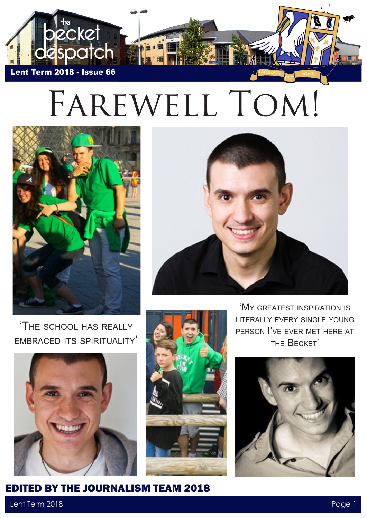

## Farewell Tom!





'The school has really embraced its spirituality'





'My greatest inspiration is literally every single young person I've ever met here at the Becket'



## Lent Term 2018 Page 1